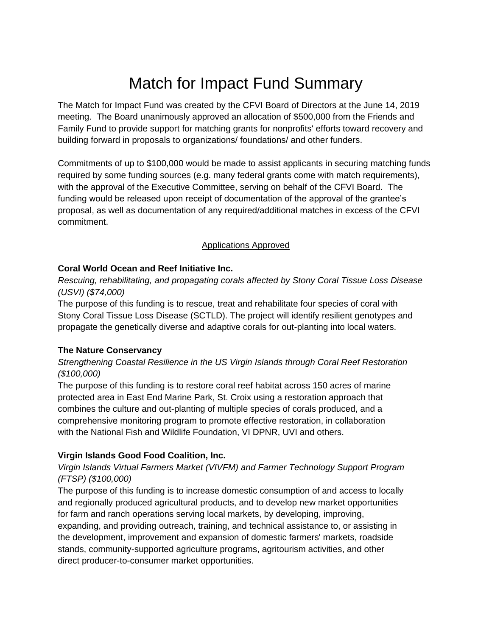# Match for Impact Fund Summary

The Match for Impact Fund was created by the CFVI Board of Directors at the June 14, 2019 meeting. The Board unanimously approved an allocation of \$500,000 from the Friends and Family Fund to provide support for matching grants for nonprofits' efforts toward recovery and building forward in proposals to organizations/ foundations/ and other funders.

Commitments of up to \$100,000 would be made to assist applicants in securing matching funds required by some funding sources (e.g. many federal grants come with match requirements), with the approval of the Executive Committee, serving on behalf of the CFVI Board. The funding would be released upon receipt of documentation of the approval of the grantee's proposal, as well as documentation of any required/additional matches in excess of the CFVI commitment.

#### Applications Approved

#### **Coral World Ocean and Reef Initiative Inc.**

*Rescuing, rehabilitating, and propagating corals affected by Stony Coral Tissue Loss Disease (USVI) (\$74,000)*

The purpose of this funding is to rescue, treat and rehabilitate four species of coral with Stony Coral Tissue Loss Disease (SCTLD). The project will identify resilient genotypes and propagate the genetically diverse and adaptive corals for out-planting into local waters.

#### **The Nature Conservancy**

# *Strengthening Coastal Resilience in the US Virgin Islands through Coral Reef Restoration (\$100,000)*

The purpose of this funding is to restore coral reef habitat across 150 acres of marine protected area in East End Marine Park, St. Croix using a restoration approach that combines the culture and out-planting of multiple species of corals produced, and a comprehensive monitoring program to promote effective restoration, in collaboration with the National Fish and Wildlife Foundation, VI DPNR, UVI and others.

# **Virgin Islands Good Food Coalition, Inc.**

# *Virgin Islands Virtual Farmers Market (VIVFM) and Farmer Technology Support Program (FTSP) (\$100,000)*

The purpose of this funding is to increase domestic consumption of and access to locally and regionally produced agricultural products, and to develop new market opportunities for farm and ranch operations serving local markets, by developing, improving, expanding, and providing outreach, training, and technical assistance to, or assisting in the development, improvement and expansion of domestic farmers' markets, roadside stands, community-supported agriculture programs, agritourism activities, and other direct producer-to-consumer market opportunities.